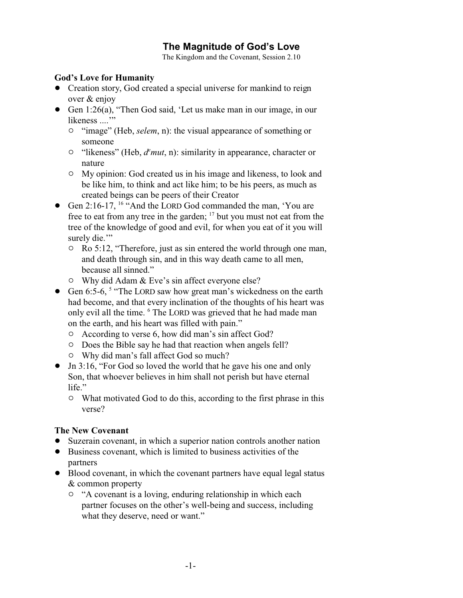# **The Magnitude of God's Love**

The Kingdom and the Covenant, Session 2.10

# **God's Love for Humanity**

- Creation story, God created a special universe for mankind to reign over & enjoy
- Gen 1:26(a), "Then God said, 'Let us make man in our image, in our likeness ...."
	- <sup>o</sup> "image" (Heb, *selem*, n): the visual appearance of something or someone
	- <sup>o</sup> "likeness" (Heb,  $d<sup>e</sup> mut$ , n): similarity in appearance, character or nature
	- $\circ$  My opinion: God created us in his image and likeness, to look and be like him, to think and act like him; to be his peers, as much as created beings can be peers of their Creator
- Gen 2:16-17, <sup>16</sup> "And the LORD God commanded the man, 'You are free to eat from any tree in the garden; <sup>17</sup> but you must not eat from the tree of the knowledge of good and evil, for when you eat of it you will surely die."
	- $\circ$  Ro 5:12, "Therefore, just as sin entered the world through one man, and death through sin, and in this way death came to all men, because all sinned."
	- $\circ$  Why did Adam & Eve's sin affect everyone else?
- Gen 6:5-6, <sup>5</sup> "The LORD saw how great man's wickedness on the earth had become, and that every inclination of the thoughts of his heart was only evil all the time. <sup>6</sup> The LORD was grieved that he had made man on the earth, and his heart was filled with pain."
	- $\circ$  According to verse 6, how did man's sin affect God?
	- $\circ$  Does the Bible say he had that reaction when angels fell?
	- $\circ$  Why did man's fall affect God so much?
- Jn 3:16, "For God so loved the world that he gave his one and only Son, that whoever believes in him shall not perish but have eternal life."
	- $\circ$  What motivated God to do this, according to the first phrase in this verse?

# **The New Covenant**

- Suzerain covenant, in which a superior nation controls another nation
- Business covenant, which is limited to business activities of the partners
- ! Blood covenant, in which the covenant partners have equal legal status & common property
	- $\circ$  "A covenant is a loving, enduring relationship in which each partner focuses on the other's well-being and success, including what they deserve, need or want."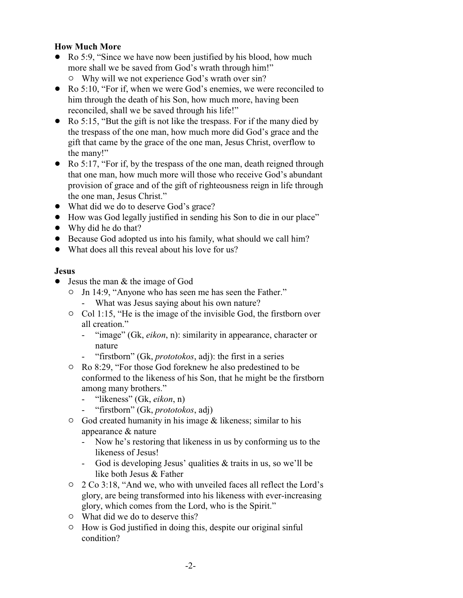# **How Much More**

- Ro 5:9, "Since we have now been justified by his blood, how much more shall we be saved from God's wrath through him!"
	- Why will we not experience God's wrath over sin?
- Ro 5:10, "For if, when we were God's enemies, we were reconciled to him through the death of his Son, how much more, having been reconciled, shall we be saved through his life!"
- Ro 5:15, "But the gift is not like the trespass. For if the many died by the trespass of the one man, how much more did God's grace and the gift that came by the grace of the one man, Jesus Christ, overflow to the many!"
- Ro 5:17, "For if, by the trespass of the one man, death reigned through that one man, how much more will those who receive God's abundant provision of grace and of the gift of righteousness reign in life through the one man, Jesus Christ."
- What did we do to deserve God's grace?
- ! How was God legally justified in sending his Son to die in our place"
- Why did he do that?
- ! Because God adopted us into his family, what should we call him?
- What does all this reveal about his love for us?

# **Jesus**

- Jesus the man & the image of God
	- " Jn 14:9, "Anyone who has seen me has seen the Father."
		- What was Jesus saying about his own nature?
	- $\circ$  Col 1:15, "He is the image of the invisible God, the firstborn over all creation."
		- "image" (Gk, *eikon*, n): similarity in appearance, character or nature
		- "firstborn" (Gk, *prototokos*, adj): the first in a series
	- <sup>o</sup> Ro 8:29, "For those God foreknew he also predestined to be conformed to the likeness of his Son, that he might be the firstborn among many brothers."
		- "likeness" (Gk, *eikon*, n)
		- "firstborn" (Gk, *prototokos*, adj)
	- $\circ$  God created humanity in his image & likeness; similar to his appearance & nature
		- Now he's restoring that likeness in us by conforming us to the likeness of Jesus!
		- God is developing Jesus' qualities & traits in us, so we'll be like both Jesus & Father
	- " 2 Co 3:18, "And we, who with unveiled faces all reflect the Lord's glory, are being transformed into his likeness with ever-increasing glory, which comes from the Lord, who is the Spirit."
	- $\circ$  What did we do to deserve this?
	- $\circ$  How is God justified in doing this, despite our original sinful condition?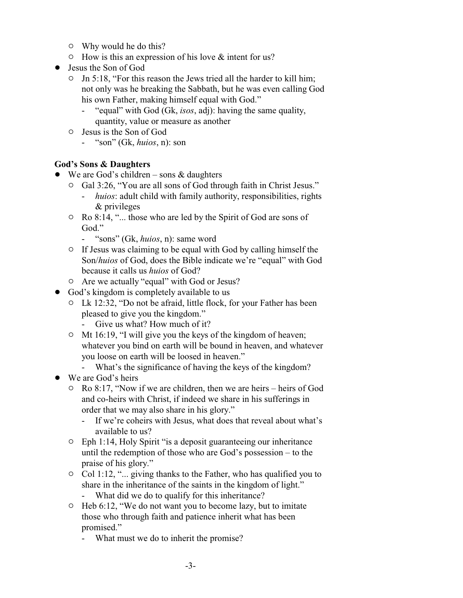- $\circ$  Why would he do this?
- $\circ$  How is this an expression of his love & intent for us?
- Jesus the Son of God
	- $\circ$  Jn 5:18, "For this reason the Jews tried all the harder to kill him; not only was he breaking the Sabbath, but he was even calling God his own Father, making himself equal with God."
		- "equal" with God (Gk, *isos*, adj): having the same quality, quantity, value or measure as another
	- $\circ$  Jesus is the Son of God
		- "son" (Gk, *huios*, n): son

# **God's Sons & Daughters**

- We are God's children sons  $&$  daughters
	- <sup>o</sup> Gal 3:26, "You are all sons of God through faith in Christ Jesus."
		- *huios*: adult child with family authority, responsibilities, rights & privileges
	- $\circ$  Ro 8:14, "... those who are led by the Spirit of God are sons of God."
		- "sons" (Gk, *huios*, n): same word
	- $\circ$  If Jesus was claiming to be equal with God by calling himself the Son/*huios* of God, does the Bible indicate we're "equal" with God because it calls us *huios* of God?
	- o Are we actually "equal" with God or Jesus?
- God's kingdom is completely available to us
	- $\circ$  Lk 12:32, "Do not be afraid, little flock, for your Father has been pleased to give you the kingdom."
		- Give us what? How much of it?
	- $\circ$  Mt 16:19, "I will give you the keys of the kingdom of heaven; whatever you bind on earth will be bound in heaven, and whatever you loose on earth will be loosed in heaven."
		- What's the significance of having the keys of the kingdom?
- We are God's heirs
	- " Ro 8:17, "Now if we are children, then we are heirs heirs of God and co-heirs with Christ, if indeed we share in his sufferings in order that we may also share in his glory."
		- If we're coheirs with Jesus, what does that reveal about what's available to us?
	- $\circ$  Eph 1:14, Holy Spirit "is a deposit guaranteeing our inheritance until the redemption of those who are God's possession – to the praise of his glory."
	- $\circ$  Col 1:12, "... giving thanks to the Father, who has qualified you to share in the inheritance of the saints in the kingdom of light." - What did we do to qualify for this inheritance?
	- <sup>o</sup> Heb 6:12, "We do not want you to become lazy, but to imitate those who through faith and patience inherit what has been promised."
		- What must we do to inherit the promise?